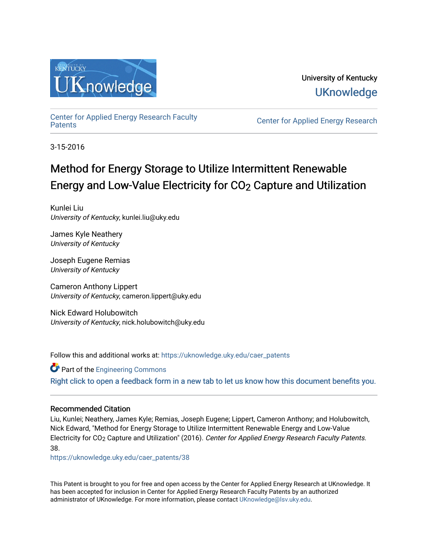

University of Kentucky **UKnowledge** 

[Center for Applied Energy Research Faculty](https://uknowledge.uky.edu/caer_patents)

Center for Applied Energy Research

3-15-2016

# Method for Energy Storage to Utilize Intermittent Renewable Energy and Low-Value Electricity for CO2 Capture and Utilization

Kunlei Liu University of Kentucky, kunlei.liu@uky.edu

James Kyle Neathery University of Kentucky

Joseph Eugene Remias University of Kentucky

Cameron Anthony Lippert University of Kentucky, cameron.lippert@uky.edu

Nick Edward Holubowitch University of Kentucky, nick.holubowitch@uky.edu

Follow this and additional works at: [https://uknowledge.uky.edu/caer\\_patents](https://uknowledge.uky.edu/caer_patents?utm_source=uknowledge.uky.edu%2Fcaer_patents%2F38&utm_medium=PDF&utm_campaign=PDFCoverPages) 

Part of the [Engineering Commons](http://network.bepress.com/hgg/discipline/217?utm_source=uknowledge.uky.edu%2Fcaer_patents%2F38&utm_medium=PDF&utm_campaign=PDFCoverPages) [Right click to open a feedback form in a new tab to let us know how this document benefits you.](https://uky.az1.qualtrics.com/jfe/form/SV_9mq8fx2GnONRfz7)

## Recommended Citation

Liu, Kunlei; Neathery, James Kyle; Remias, Joseph Eugene; Lippert, Cameron Anthony; and Holubowitch, Nick Edward, "Method for Energy Storage to Utilize Intermittent Renewable Energy and Low-Value Electricity for CO<sub>2</sub> Capture and Utilization" (2016). Center for Applied Energy Research Faculty Patents. 38.

[https://uknowledge.uky.edu/caer\\_patents/38](https://uknowledge.uky.edu/caer_patents/38?utm_source=uknowledge.uky.edu%2Fcaer_patents%2F38&utm_medium=PDF&utm_campaign=PDFCoverPages)

This Patent is brought to you for free and open access by the Center for Applied Energy Research at UKnowledge. It has been accepted for inclusion in Center for Applied Energy Research Faculty Patents by an authorized administrator of UKnowledge. For more information, please contact [UKnowledge@lsv.uky.edu](mailto:UKnowledge@lsv.uky.edu).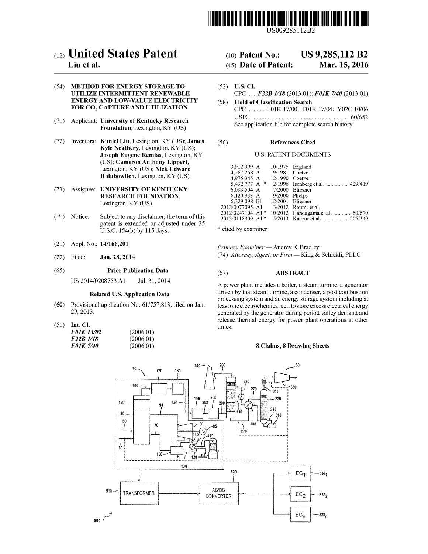

US009285112B2

## c12) **United States Patent**

## **Liu et al.**

#### (54) **METHOD FOR ENERGY STORAGE TO UTILIZE INTERMITTENT RENEWABLE ENERGY AND LOW-VALUE ELECTRICITY**  FOR CO<sub>2</sub> CAPTURE AND UTILIZATION

- (71) Applicant: **University of Kentucky Research Foundation,** Lexington, KY (US)
- (72) Inventors: **Kunlei Liu,** Lexington, KY (US); **James Kyle Neathery,** Lexington, KY (US); **Joseph Eugene Remias,** Lexington, KY (US); **Cameron Anthony Lippert,**  Lexington, KY (US); **Nick Edward Holubowitch,** Lexington, KY (US)
- (73) Assignee: **UNIVERSITY OF KENTUCKY RESEARCH FOUNDATION,**  Lexington, KY (US)
- ( \*) Notice: Subject to any disclaimer, the term of this patent is extended or adjusted under 35 U.S.C. 154(b) by 115 days.
- (21) Appl. No.: **14/166,201**
- (22) Filed: **Jan.28,2014**

#### (65) **Prior Publication Data**

US 2014/0208753 Al Jul. 31, 2014

#### **Related U.S. Application Data**

- (60) Provisional application No. 61/757,813, filed on Jan. 29,2013.
- (51) **Int. Cl.**

| <b>F01K 13/02</b> | (2006.01) |
|-------------------|-----------|
| F22B 1/18         | (2006.01) |
| <b>F01K 7/40</b>  | (2006.01) |

## (10) **Patent No.: US 9,285,112 B2**

## (45) **Date of Patent: Mar.15,2016**

- (52) **U.S. Cl.**  CPC .... *F22B 1118* (2013.01); *FOlK 7140* (2013.01)
- (58) **Field of Classification Search**  CPC .......... FOlK 17/00; FOlK 17/04; Y02C 10/06 USPC ............................................................ 60/652 See application file for complete search history.

#### (56) **References Cited**

### U.S. PATENT DOCUMENTS

| 3.912.999 A      | $10/1975$ England |                                                                             |
|------------------|-------------------|-----------------------------------------------------------------------------|
|                  |                   | 9/1981 Coetzer                                                              |
| 4,975,345 A      | $12/1990$ Coetzer |                                                                             |
| 5,492,777 A *    |                   | 2/1996 Isenberg et al.  429/419                                             |
| 6,093,504 A      |                   |                                                                             |
|                  |                   |                                                                             |
|                  | 12/2001 Bliesner  |                                                                             |
| 2012/0077095 A1  |                   | 3/2012 Roumi et al.                                                         |
| 2012/0247104 A1* |                   | 10/2012 Handagama et al.  60/670                                            |
| 2013/0118909 A1* |                   | 5/2013 Kaczur et al.  205/349                                               |
|                  |                   | 4.287.268 A<br>7/2000 Bliesner<br>6,120,933 A 9/2000 Phelps<br>6,329,098 B1 |

\* cited by examiner

*Primary Examiner-* Audrey K Bradley (74) *Attorney, Agent, or Firm-* King & Schickli, PLLC

#### (57) **ABSTRACT**

A power plant includes a boiler, a steam turbine, a generator driven by that steam turbine, a condenser, a post combustion processing system and an energy storage system including at least one electrochemical cell to store excess electrical energy generated by the generator during period valley demand and release thermal energy for power plant operations at other times.

### **8 Claims, 8 Drawing Sheets**

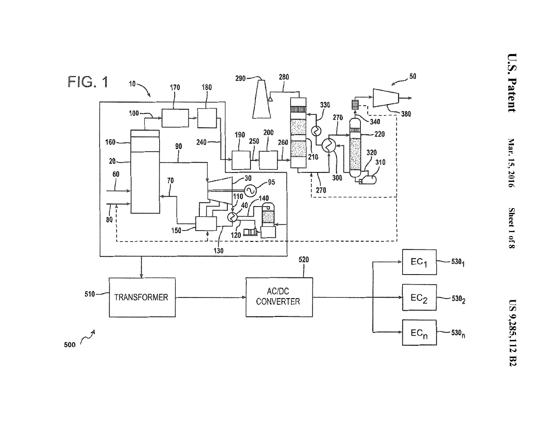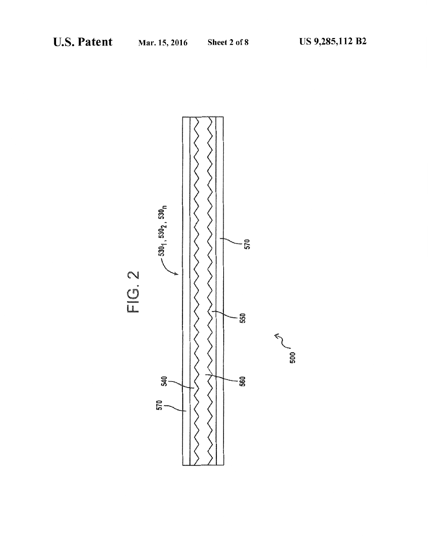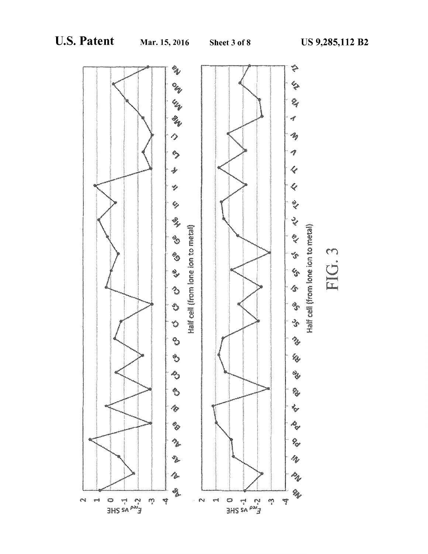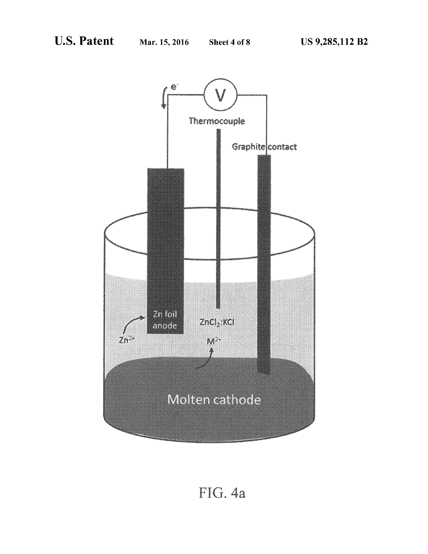

# FIG. 4a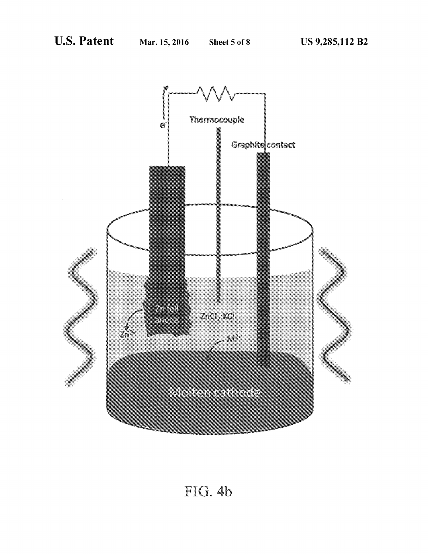

FIG. 4b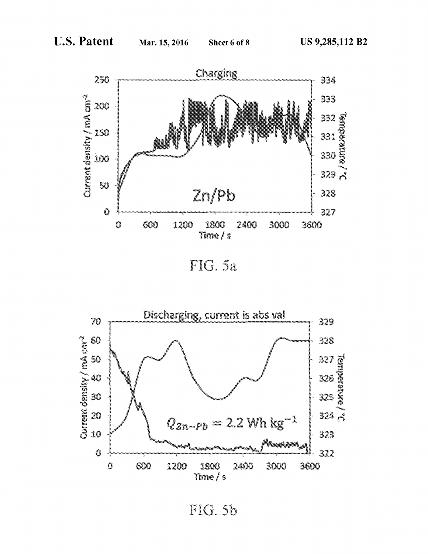

FIG. 5a



FIG. 5b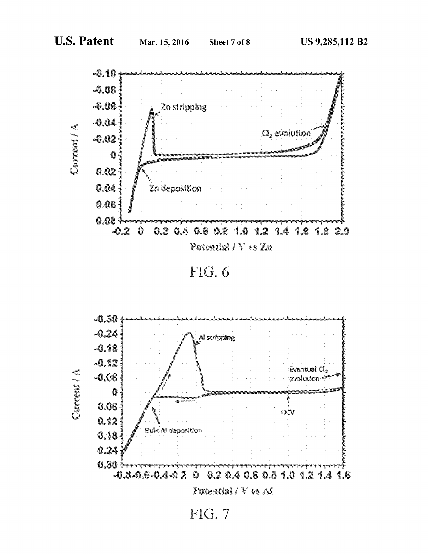

 $FIG. 6$ 

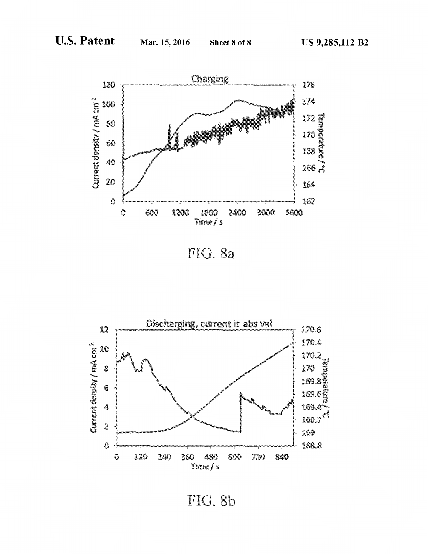

FIG. 8a



FIG. 8b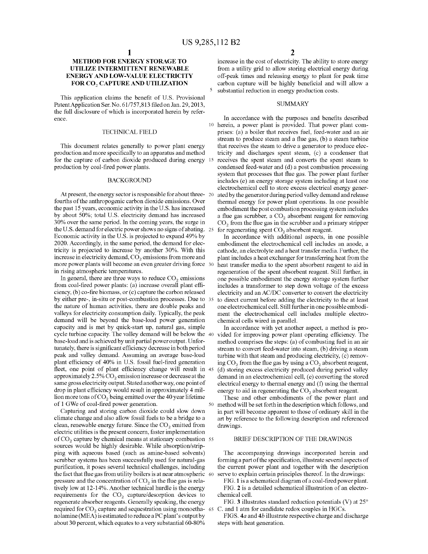### **METHOD FOR ENERGY STORAGE TO UTILIZE INTERMITTENT RENEWABLE ENERGY AND LOW-VALUE ELECTRICITY FOR C02 CAPTURE AND UTILIZATION**

This application claims the benefit of U.S. Provisional Patent Application Ser. No. 61/757,813 filed on Jan. 29,2013, the full disclosure of which is incorporated herein by reference.

#### TECHNICAL FIELD

This document relates generally to power plant energy production and more specifically to an apparatus and method for the capture of carbon dioxide produced during energy 15 production by coal-fired power plants.

#### BACKGROUND

At present, the energy sector is responsible for about three- 20 fourths of the anthropogenic carbon dioxide emissions. Over the past 15 years, economic activity in the U.S. has increased by about 50%; total U.S. electricity demand has increased 30% over the same period. In the coming years, the surge in the U.S. demand for electric power shows no signs of abating. Economic activity in the U.S. is projected to expand 49% by 2020. Accordingly, in the same period, the demand for electricity is projected to increase by another 30%. With this increase in electricity demand,  $CO<sub>2</sub>$  emissions from more and more power plants will become an even greater driving force 30 in rising atmospheric temperatures.

In general, there are three ways to reduce  $CO<sub>2</sub>$  emissions from coal-fired power plants: (a) increase overall plant efficiency, (b) co-fire biomass, or (c) capture the carbon released by either pre-, in-situ or post-combustion processes. Due to the nature of human activities, there are double peaks and valleys for electricity consumption daily. Typically, the peak demand will be beyond the base-load power generation capacity and is met by quick-start up, natural gas, simple cycle turbine capacity. The valley demand will be below the base-load and is achieved by unit partial power output. Unfortunately, there is significant efficiency decrease in both period peak and valley demand. Assuming an average base-load plant efficiency of 40% in U.S. fossil fuel-fired generation fleet, one point of plant efficiency change will result in 45 approximately  $2.5\%$  CO<sub>2</sub> emission increase or decrease at the same gross electricity output. Stated another way, one point of drop in plant efficiency would result in approximately 4 million more tons of  $CO<sub>2</sub>$  being emitted over the 40 year lifetime of 1 GWe of coal-fired power generation.

Capturing and storing carbon dioxide could slow down climate change and also allow fossil fuels to be a bridge to a clean, renewable energy future. Since the  $CO<sub>2</sub>$  emitted from electric utilities is the present concern, faster implementation of  $CO<sub>2</sub>$  capture by chemical means at stationary combustion 55 sources would be highly desirable. While absorption/stripping with aqueous based (such as amine-based solvents) scrubber systems has been successfully used for natural-gas purification, it poses several technical challenges, including the fact that flue gas from utility boilers is at near atmospheric 60 pressure and the concentration of  $CO<sub>2</sub>$  in the flue gas is relatively low at 12-14%. Another technical hurdle is the energy requirements for the CO<sub>2</sub> capture/desorption devices to regenerate absorber reagents. Generally speaking, the energy required for  $CO<sub>2</sub>$  capture and sequestration using monoetha- 65 nolamine (MEA) is estimated to reduce a PC plant's output by about 30 percent, which equates to a very substantial 60-80%

increase in the cost of electricity. The ability to store energy from a utility grid to allow storing electrical energy during off-peak times and releasing energy to plant for peak time carbon capture will be highly beneficial and will allow a substantial reduction in energy production costs.

#### **SUMMARY**

In accordance with the purposes and benefits described 10 herein, a power plant is provided. That power plant comprises: (a) a boiler that receives fuel, feed-water and an air stream to produce steam and a flue gas, (b) a steam turbine that receives the steam to drive a generator to produce electricity and discharges spent steam, (c) a condenser that receives the spent steam and converts the spent steam to condensed feed-water and (d) a post combustion processing system that processes that flue gas. The power plant further includes (e) an energy storage system including at least one electrochemical cell to store excess electrical energy generated by the generator during period valley demand and release thermal energy for power plant operations. In one possible embodiment the post combustion processing system includes a flue gas scrubber, a  $CO<sub>2</sub>$  absorbent reagent for removing  $CO<sub>2</sub>$  from the flue gas in the scrubber and a primary stripper for regenerating spent  $CO<sub>2</sub>$  absorbent reagent.

In accordance with additional aspects, in one possible embodiment the electrochemical cell includes an anode, a cathode, an electrolyte and a heat transfer media. Further, the plant includes a heat exchanger for transferring heat from the heat transfer media to the spent absorbent reagent to aid in regeneration of the spent absorbent reagent. Still further, in one possible embodiment the energy storage system further includes a transformer to step down voltage of the excess electricity and an AC/DC converter to convert the electricity to direct current before adding the electricity to the at least one electrochemical cell. Still further in one possible embodiment the electrochemical cell includes multiple electrochemical cells wired in parallel.

In accordance with yet another aspect, a method is provided for improving power plant operating efficiency. The method comprises the steps: (a) of combusting fuel in an air stream to convert feed-water into steam, (b) driving a steam turbine with that steam and producing electricity, (c) removing  $CO<sub>2</sub>$  from the flue gas by using a  $CO<sub>2</sub>$  absorbent reagent, (d) storing excess electricity produced during period valley demand in an electrochemical cell, (e) converting the stored electrical energy to thermal energy and (f) using the thermal energy to aid in regenerating the  $CO<sub>2</sub>$  absorbent reagent.

These and other embodiments of the power plant and method will be set forth in the description which follows, and in part will become apparent to those of ordinary skill in the art by reference to the following description and referenced drawings.

#### BRIEF DESCRIPTION OF THE DRAWINGS

The accompanying drawings incorporated herein and forming a part of the specification, illustrate several aspects of the current power plant and together with the description serve to explain certain principles thereof. In the drawings:

FIG. 1 is a schematical diagram of a coal-fired power plant. FIG. **2** is a detailed schematical illustration of an electrochemical cell.

FIG. **3** illustrates standard reduction potentials (V) at 25° C. and 1 atm for candidate redox couples in HGCs.

FIGS. *4a* and *4b* illustrate respective charge and discharge steps with heat generation.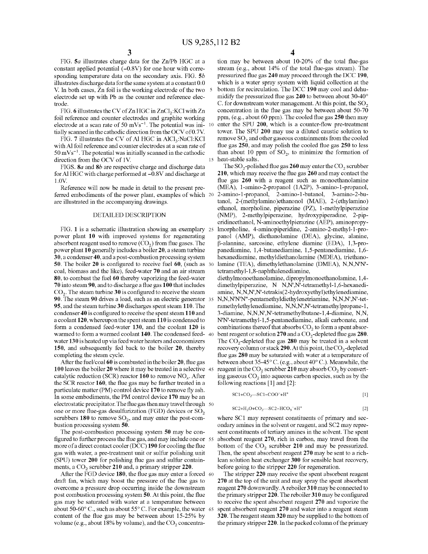FIG. *Sa* illustrates charge data for the Zn/Pb HGC at a constant applied potential  $(-0.8V)$  for one hour with corresponding temperature data on the secondary axis. FIG. *Sb*  illustrates discharge data for the same system at a constant 0.0 V. In both cases, Zn foil is the working electrode of the two 5 electrode set up with Pb as the counter and reference electrode.

FIG. 6 illustrates the CV of Zn HGC in ZnCl<sub>2</sub>: KCl with Zn foil reference and counter electrodes and graphite working electrode at a scan rate of 50  $mVs^{-1}$ . The potential was ini- 10 tially scanned in the cathodic direction from the OCV of 0.7V.

FIG. 7 illustrates the CV of Al HGC in AlCl<sub>3</sub>:NaCl:KCl with AI foil reference and counter electrodes at a scan rate of  $50 \text{ mVs}^{-1}$ . The potential was initially scanned in the cathodic than about 10 ppm of  $\text{SO}_2$ , to minimize the formation of direction from the OCV of 1V. 15 heat-stable salts.

FIGS. *Sa* and *Sb* are respective charge and discharge data for Al HGC with charge performed at  $-0.8V$  and discharge at l.OV.

Reference will now be made in detail to the present preferred embodiments of the power plant, examples of which 20 are illustrated in the accompanying drawings.

#### DETAILED DESCRIPTION

FIG. 1 is a schematic illustration showing an exemplary power plant 10 with improved systems for regenerating absorbent reagent used to remove  $(CO<sub>2</sub>)$  from flue gases. The power plant 10 generally includes a boiler 20, a steam turbine 30, a condenser 40, and a post-combustion processing system 50. The boiler 20 is configured to receive fuel 60, (such as 30 coal, biomass and the like), feed-water 70 and an air stream 80, to combust the fuel 60 thereby vaporizing the feed-water 70 into steam 90, and to discharge a flue gas 100 that includes  $CO<sub>2</sub>$ . The steam turbine 30 is configured to receive the steam 90. The steam 90 drives a load, such as an electric generator 95, and the steam turbine 30 discharges spent steam 110. The condenser 40 is configured to receive the spent steam 110 and a coolant 120, whereupon the spent steam 110 is condensed to form a condensed feed-water 130, and the coolant 120 is warmed to form a warmed coolant 140. The condensed feed- 40 water 130 is heated up via feed water heaters and economizers 150, and subsequently fed back to the boiler 20, thereby completing the steam cycle.

100 leaves the boiler 20 where it may be treated in a selective 45 catalytic reduction (SCR) reactor 160 to remove *NOx.* After the SCR reactor 160, the flue gas may be further treated in a particulate matter (PM) control device 170 to remove fly ash. In some embodiments, the PM control device 170 may be an electrostatic precipitator. The flue gas then may travel through 50 one or more flue-gas desulfurization (FGD) devices or  $SO_2$ scrubbers  $180$  to remove  $SO<sub>2</sub>$ , and may enter the post-combustion processing system 50.

The post-combustion processing system 50 may be configured to further process the flue gas, and may include one or 55 more of a direct contact cooler (DCC) 190 for cooling the flue gas with water, a pre-treatment unit or sulfur polishing unit (SPU) tower 200 for polishing flue gas and sulfur containments, a  $CO<sub>2</sub>$  scrubber 210 and, a primary stripper 220.

After the FGD device 180, the flue gas may enter a forced 60 draft fan, which may boost the pressure of the flue gas to overcome a pressure drop occurring inside the downstream post combustion processing system 50. At this point, the flue gas may be saturated with water at a temperature between about 50-60° C., such as about 55° C. For example, the water 65 content of the flue gas may be between about 15-25% by volume (e.g., about  $18\%$  by volume), and the  $CO<sub>2</sub>$  concentra4

tion may be between about 10-20% of the total flue-gas stream (e.g., about 14% of the total flue-gas stream). The pressurized flue gas 240 may proceed through the DCC 190, which is a water spray system with liquid collection at the bottom for recirculation. The DCC 190 may cool and dehumidifY the pressurized flue gas 240 to between about 30-40° C. for downstream water management. At this point, the  $SO<sub>2</sub>$ concentration in the flue gas may be between about 50-70 ppm, (e.g., about 60 ppm). The cooled flue gas 250 then may enter the SPU 200, which is a counter-flow pre-treatment tower. The SPU 200 may use a diluted caustic solution to remove  $SO<sub>2</sub>$  and other gaseous containments from the cooled flue gas 250, and may polish the cooled flue gas 250 to less

The  $SO_2$ -polished flue gas 260 may enter the  $CO_2$  scrubber 210, which may receive the flue gas 260 and may contact the flue gas 260 with a reagent such as monoethanolamine (MEA), 1-amino-2-propanol (1A2P), 3-amino-1-propanol, 2-amino-1-propanol, 2-amino-1-butanol, 3-amino-2-butanol, 2-(methylamino)ethanonol (MAE), 2-(ethylamino) ethanol, morpholine, piperazine (PZ), 1-methylpiperazine (NMP), 2-methylpiperazine, hydroxypiperadine, 2-piperidineethanol, N-aminoethylpierazine (AEP), aminopropy-25 lmorpholine, 4-aminopiperidine, 2-amino-2-methyl-1-propanol (AMP), diethanolamine (DEA), glycine, alanine,  $\beta$ -alannine, sarcosine, ethylene diamine (EDA), 1,3-propanediamine, 1,4-butanediamine, 1,5-pentanediamine, 1,6hexanediamine, methyldiethanolamine (MDEA), triethanolamine (TEA), dimethylethanolamine (DMEA), N,N,N'N'tetramethyl-1,8-naphthalenediamine,

diethylmonoethanolamine, dipropylmonoethanolamine, 1,4 dimethylpiperazine, N N,N',N'-tetramethyl-1,6-hexanediamine, N,N,N',N'-tetrakis(2-hydroxyethyl)ethylenediamine, 35 N,N,N'N'N"-pentamethyldiethylenetriamine, N,N,N',N'-tetramethylethylenediamine, N,N,N',N'-tetramethylpropane-1, 3-diamine, N,N,N',N'-tetramethylbutane-1,4-diamine, N,N, N'N'-tetramethy 1-1,5-pentanediamine, alkali carbonate, and combinations thereof that absorbs  $CO<sub>2</sub>$  to form a spent absorbent reagent or solution  $270$  and a CO<sub>2</sub>-depleted flue gas  $280$ . The  $CO_2$ -depleted flue gas 280 may be treated in a solvent recovery column or stack 290. At this point, the  $CO<sub>2</sub>$ -depleted flue gas 280 may be saturated with water at a temperature of After the fuel/coal 60 is combusted in the boiler 20, flue gas between about 35-45° C. (e.g., about 40° C.). Meanwhile, the reagent in the  $CO_2$  scrubber 210 may absorb  $CO_2$  by converting gaseous  $CO<sub>2</sub>$  into aqueous carbon species, such as by the following reactions [1] and [2]:

$$
SC1 + CO_2 \longrightarrow CC1 - COO^- + H^+
$$
 [1]

$$
SC2 + H2O + CO2 - SC2 - HCO3- + H+
$$
 [2]

where SCI may represent constituents of primary and secondary amines in the solvent or reagent, and SC2 may represent constituents of tertiary amines in the solvent. The spent absorbent reagent 270, rich in carbon, may travel from the bottom of the  $CO<sub>2</sub>$  scrubber 210 and may be pressurized. Then, the spent absorbent reagent 270 may be sent to a richlean solution heat exchanger 300 for sensible heat recovery, before going to the stripper 220 for regeneration.

The stripper 220 may receive the spent absorbent reagent 270 at the top of the unit and may spray the spent absorbent reagent 270 downwardly. A reboiler 310 may be connected to the primary stripper 220. The reboiler 310 may be configured to receive the spent absorbent reagent 270 and vaporize the spent absorbent reagent 270 and water into a reagent steam 320. The reagent steam 320 may be supplied to the bottom of the primary stripper 220. In the packed colunm of the primary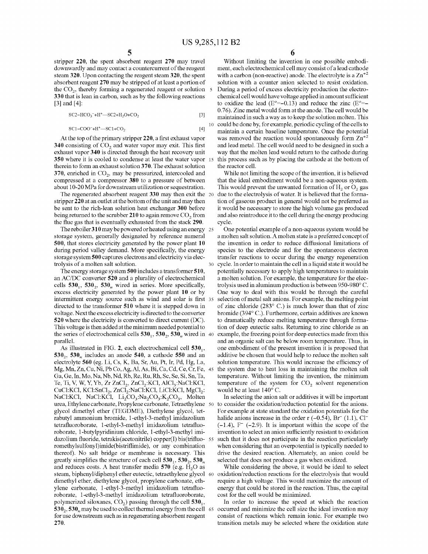stripper 220, the spent absorbent reagent 270 may travel downwardly and may contact a countercurrent of the reagent steam 320. Upon contacting the reagent steam 320, the spent absorbent reagent 270 may be stripped of at least a portion of the  $CO<sub>2</sub>$ , thereby forming a regenerated reagent or solution  $\overline{5}$ 330 that is lean in carbon, such as by the following reactions [3] and [4]:

 $SC2-HCO<sub>3</sub><sup>-</sup>+H<sup>+</sup>$  -  $SC2+H<sub>2</sub>O+CO<sub>2</sub>$ [3]

$$
SC1-COO^{-}+H^{+}--SC1+CO_{2}
$$
 [4]

340 consisting of  $CO_2$  and water vapor may exit. This first and lead metal. The cell would need to be designed in such a exhaust vapor 340 is directed through the heat recovery unit way that the molten lead would return 350 where it is cooled to condense at least the water vapor 15 this process such as by placing the cathode at the bottom of therein to form an exhaust solution 370. The exhaust solution the reactor cell. 370, enriched in  $CO<sub>2</sub>$ , may be pressurized, intercooled and compressed at a compressor 380 to a pressure of between about 10-20 MPa for downstream utilization or sequestration.

The regenerated absorbent reagent 330 may then exit the 20 stripper 220 at an outlet at the bottom of the unit and may then be sent to the rich-lean solution heat exchanger 300 before being returned to the scrubber 210 to again remove  $CO<sub>2</sub>$  from the flue gas that is eventually exhausted from the stack 290.

The reboiler 310 may be powered or heated using an energy 25 storage system, generally designated by reference numeral 500, that stores electricity generated by the power plant 10 during period valley demand. More specifically, the energy storage system 500 captures electrons and electricity via electrolysis of a molten salt solution. 30 cycle. In order to maintain the cell in a liquid state it would be

The energy storage system 500 includes a transformer 510, an AC/DC converter 520 and a plurality of electrochemical cells  $530_1$ ,  $530_2$ ,  $530_n$  wired in series. More specifically, excess electricity generated by the power plant 10 or by intermittent energy source such as wind and solar is first 35 directed to the transformer 510 where it is stepped down in voltage. Next the excess electricity is directed to the converter 520 where the electricity is converted to direct current (DC). This voltage is then added at the minimum needed potential to the series of electrochemical cells  $530<sub>1</sub>$ ,  $530<sub>2</sub>$ ,  $530<sub>n</sub>$  wired in 40 parallel.

As illustrated in FIG. 2, each electrochemical cell  $530<sub>1</sub>$ ,  $530<sub>2</sub>$ ,  $530<sub>n</sub>$  includes an anode 540, a cathode 550 and an electrolyte 560 (eg. Li, Cs, K, Ba, Sr, Au, Pt, Ir, Pd, Hg, La, Mg, Mn, Zn, Cu, Ni, Pb Co, Ag, AI, As, Bi, Ca, Cd, Ce, Cr, Fe, 45 Ga, Ge, In, Mo, Na, Nb, Nd, Rb, Re, Ru, Rh, Sc, Se, Si, Sn, Ta, Te, Ti, V, W, Y, Yb, Zr ZnCl<sub>2</sub>, ZnCl<sub>2</sub>:KCl, AlCl<sub>3</sub>:NaCl:KCl,  $CuCl: KC1, KC1: SnCl<sub>2</sub>, ZnCl<sub>2</sub>: NaCl: KC1, LiCl: KC1, MgCl<sub>2</sub>:$ NaCl:KCl, NaCl:KCl,  $Li_2CO_3$ :Na<sub>2</sub>CO<sub>3</sub>:K<sub>2</sub>CO<sub>3</sub>, Molten urea, Ethylene carbonate, Propylene carbonate, Tetraethylene 50 glycol dimethyl ether (TEGDME), Diethylene glycol, tetrabutyl ammonium bromide, 1-ethyl-3-methyl imidazolium tetrafluoroborate, 1-ethyl-3-methyl imidazolium tetrafluoroborate, 1-butylpyridinium chloride, 1-ethyl-3-methyl imidazolium fluoride, tetrakis(acetonitrile) copper(I) bis(trifluo- 55 romethylsulfonyl)imide(bistriflimide), or any combination thereof). No salt bridge or membrane is necessary. This greatly simplifies the structure of each cell  $530<sub>1</sub>$ ,  $530<sub>2</sub>$ ,  $530<sub>n</sub>$ and reduces costs. A heat transfer media  $570$  (e.g.  $H_2O$  as steam, biphenyl/diphenyl ether eutectic, tetraethylene glycol 60 oxidation/reduction reactions for the electrolysis that would dimethyl ether, diethylene glycol, propylene carbonate, ethylene carbonate, 1-ethyl-3-methyl imidazolium tetrafluoroborate, 1-ethyl-3-methyl imidazolium tetrafluoroborate, polymerized siloxanes,  $CO<sub>2</sub>$ ) passing through the cell  $530<sub>1</sub>$ ,  $530<sub>2</sub>$ ,  $530<sub>n</sub>$  may be used to collect thermal energy from the cell 65 occurred and minimize the cell size the ideal invention may for use downstream such as in regenerating absorbent reagent 270.

6

Without limiting the invention in one possible embodiment, each electrochemical cell may consist of a lead cathode with a carbon (non-reactive) anode. The electrolyte is a  $\text{Zn}^{2}$ solution with a counter anion selected to resist oxidation. During a period of excess electricity production the electrochemical cell would have voltage applied in amount sufficient to oxidize the lead ( $E^{\circ} = -0.13$ ) and reduce the zinc ( $E^{\circ} = -1$ 0.76). Zinc metal would form at the anode. The cell would be maintained in such a way as to keep the solution molten. This 10 could be done by, for example, periodic cycling of the cells to maintain a certain baseline temperature. Once the potential At the top of the primary stripper 220, a first exhaust vapor was removed the reaction would spontaneously form  $\text{Zn}^{+2}$ way that the molten lead would return to the cathode during

> While not limiting the scope of the invention, it is believed that the ideal embodiment would be a non-aqueous system. This would prevent the unwanted formation of  $H_2$  or  $O_2$  gas due to the electrolysis of water. It is believed that the formation of gaseous product in general would not be preferred as it would be necessary to store the high volume gas produced and also reintroduce it to the cell during the energy producing cycle.

> One potential example of a non-aqueous system would be a molten salt solution. A molten state is a preferred concept of the invention in order to reduce diffusional limitations of species to the electrode and for the spontaneous electron transfer reactions to occur during the energy regeneration potentially necessary to apply high temperatures to maintain a molten solution. For example, the temperature for the electrolysis used in aluminum production is between 950-980° C. One way to deal with this would be through the careful selection of metal salt anions. For example, the melting point of zinc chloride (283° C.) is much lower than that of zinc bromide (394°C.). Furthermore, certain additives are known to dramatically reduce melting temperature through formation of deep eutectic salts. Returning to zinc chloride as an example, the freezing point for deep eutectics made from this and an organic salt can be below room temperature. Thus, in one embodiment of the present invention it is proposed that additive be chosen that would help to reduce the molten salt solution temperature. This would increase the efficiency of the system due to heat loss in maintaining the molten salt temperature. Without limiting the invention, the minimum temperature of the system for CO<sub>2</sub> solvent regeneration would be at least 140° C.

> In selecting the anion salt or additives it will be important to consider the oxidation/reduction potential for the anions. For example at state standard the oxidation potentials for the halide anions increase in the order  $r$  (-0.54),  $Br^{-}$  (1.1),  $Cl^{-}$  $(-1.4)$ , F<sup>-</sup>  $(-2.9)$ . It is important within the scope of the invention to select an anion sufficiently resistant to oxidation such that it does not participate in the reaction particularly when considering that an overpotential is typically needed to drive the desired reaction. Alternately, an anion could be selected that does not produce a gas when oxidized.

> While considering the above, it would be ideal to select require a high voltage. This would maximize the amount of energy that could be stored in the reaction. Thus, the capital cost for the cell would be minimized.

> In order to increase the speed at which the reaction consist of reactions which remain ionic. For example two transition metals may be selected where the oxidation state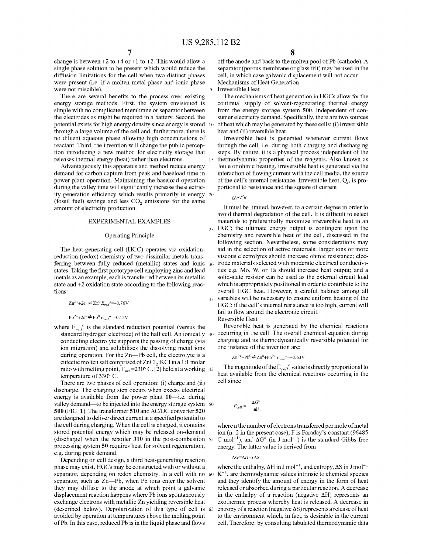change is between  $+2$  to  $+4$  or  $+1$  to  $+2$ . This would allow a single phase solution to be present which would reduce the diffusion limitations for the cell when two distinct phases were present (i.e. if a molten metal phase and ionic phase were not miscible).

There are several benefits to the process over existing energy storage methods. First, the system envisioned is simple with no complicated membrane or separator between the electrodes as might be required in a battery. Second, the potential exists for high energy density since energy is stored 10 through a large volume of the cell and, furthermore, there is no diluent aqueous phase allowing high concentrations of reactant. Third, the invention will change the public perception introducing a new method for electricity storage that releases thermal energy (heat) rather than electrons.

Advantageously this apparatus and method reduce energy demand for carbon capture from peak and baseload time in power plant operation. Maintaining the baseload operation during the valley time will significantly increase the electricity generation efficiency which results primarily in energy 20 (fossil fuel) savings and less  $CO<sub>2</sub>$  emissions for the same amount of electricity production.

#### EXPERIMENTAL EXAMPLES

#### Operating Principle

The heat-generating cell (HGC) operates via oxidationreduction (redox) chemistry of two dissimilar metals transferring between fully reduced (metallic) states and ionic states. Taking the first prototype cell employing zinc and lead metals as an example, each is transferred between its metallic state and +2 oxidation state according to the following reactions:

$$
Zn^{2+}+2e^{-} \rightleftharpoons Zn^{0}E_{red}^{\circ} = -0.76V
$$

 $Pb^{2+}+2e^ \rightleftharpoons$   $Pb^0E_{red}$ <sup>o</sup>  $=$  -0.13V

where  $E_{red}^{\circ}$  is the standard reduction potential (versus the conducting electrolyte supports the passing of charge (via ion migration) and solubilizes the dissolving metal ions during operation. For the Zn-Pb cell, the electrolyte is a eutectic molten salt comprised of ZnCl<sub>2</sub>:KCl in a 1:1 molar ratio with melting point,  $T_m$  = 230° C. [2] held at a working 45 temperature of 330° C.

There are two phases of cell operation: (i) charge and (ii) discharge. The charging step occurs when excess electrical energy is available from the power plant 10-i.e. during valley demand—to be injected into the energy storage system 50 **500** (FIG. **1).** The transformer **510** andAC/DC converter **520**  are designed to deliver direct current at a specified potential to the cell during charging. When the cell is charged, it contains stored potential energy which may be released on-demand (discharge) when the reboiler **310** in the post-combustion 55 processing system **50** requires heat for solvent regeneration, e.g. during peak demand.

Depending on cell design, a third heat-generating reaction phase may exist. HGCs may be constructed with or without a separator, depending on redox chemistry. In a cell with no 60 separator, such as Zn-Pb, when Pb ions enter the solvent they may diffuse to the anode at which point a galvanic displacement reaction happens where Pb ions spontaneously exchange electrons with metallic Zn yielding reversible heat (described below). Depolarization of this type of cell is 65 avoided by operation at temperatures above the melting point ofPb. In this case, reduced Pb is in the liquid phase and flows

off the anode and back to the molten pool of Pb (cathode). A separator (porous membrane or glass frit) may be used in the cell, in which case galvanic displacement will not occur. Mechanisms of Heat Generation

Irreversible Heat

The mechanisms of heat generation in HGCs allow for the continual supply of solvent-regenerating thermal energy from the energy storage system **500,** independent of consumer electricity demand. Specifically, there are two sources ofheat which may be generated by these cells: (i) irreversible heat and (ii) reversible heat.

Irreversible heat is generated whenever current flows through the cell, i.e. during both charging and discharging steps. By nature, it is a physical process independent of the thermodynamic properties of the reagents. Also known as Joule or ohmic heating, irreversible heat is generated via the interaction of flowing current with the cell media, the source of the cell's internal resistance. Irreversible heat,  $Q_i$ , is proportional to resistance and the square of current

#### $Q_i \propto I^2 R$

It must be limited, however, to a certain degree in order to avoid thermal degradation of the cell. It is difficult to select materials to preferentially maximize irreversible heat in an 25 HGC; the ultimate energy output is contingent upon the chemistry and reversible heat of the cell, discussed in the following section. Nevertheless, some considerations may aid in the selection of active materials: larger ions or more viscous electrolytes should increase ohmic resistance; electrode materials selected with moderate electrical conductivities e.g. Mo, W, or Ta should increase heat output; and a solid-state resistor can be used as the external circuit load which is appropriately positioned in order to contribute to the overall HGC heat. However, a careful balance among all 35 variables will be necessary to ensure uniform heating of the HGC; if the cell's internal resistance is too high, current will fail to flow around the electronic circuit. Reversible Heat

Reversible heat is generated by the chemical reactions standard hydrogen electrode) of the half cell. An ionically  $\phi_0$  occurring in the cell. The overall chemical equation during charging and its thermodynamically reversible potential for one instance of the invention are:

$$
Zn^{2+} + Pb^0 \rightleftharpoons Zn^0 + Pb^{2+} E_{--}e^- = 0.63
$$
 V

The magnitude of the  $E_{cell}^{\circ}$  value is directly proportional to heat available from the chemical reactions occurring in the cell since

$$
E_{cell}^o = -\frac{\Delta G^o}{nF}
$$

where n the number of electrons transferred per mole of metal ion (n=2 in the present case), F is Faraday's constant (96485 C mol<sup>-1</sup>), and  $\Delta G^{\circ}$  (in J mol<sup>-1</sup>) is the standard Gibbs free energy. The latter value is derived from

#### $\Delta G = \Delta H - T \Delta S$

where the enthalpy,  $\Delta H$  in J mol<sup>-1</sup>, and entropy,  $\Delta S$  in J mol<sup>-1</sup>  $K^{-1}$ , are thermodynamic values intrinsic to chemical species and they identify the amount of energy in the form of heat released or absorbed during a particular reaction. A decrease in the enthalpy of a reaction (negative  $\Delta H$ ) represents an exothermic process whereby heat is released. A decrease in entropy of a reaction (negative  $\Delta S$ ) represents a release of heat to the environment which, in fact, is desirable in the current cell. Therefore, by consulting tabulated thermodynamic data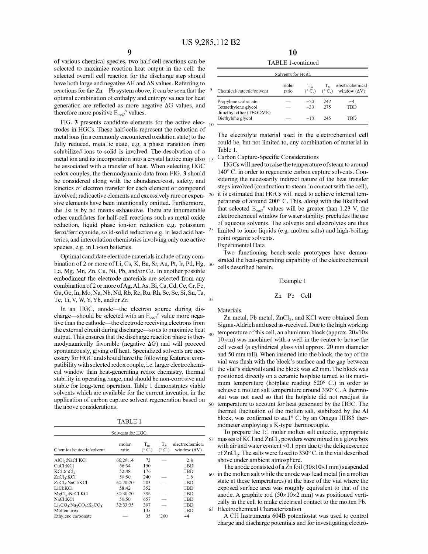of various chemical species, two half-cell reactions can be selected to maximize reaction heat output in the cell: the selected overall cell reaction for the discharge step should have both large and negative  $\Delta H$  and  $\Delta S$  values. Referring to reactions for the Zn-Pb system above, it can be seen that the optimal combination of enthalpy and entropy values for heat generation are reflected as more negative  $\Delta G$  values, and therefore more positive  $E_{cell}^{\circ}$  values.

FIG.  $3$  presents candidate elements for the active elec-  $_{10}$ trodes in HGCs. These half-cells represent the reduction of metal ions (in a commonly encountered oxidation state) to the fully reduced, metallic state, e.g. a phase transition from solubilized ions to solid is involved. The desolvation of a metal ion and its incorporation into a crystal lattice may also 15 be associated with a transfer of heat. When selecting HGC redox couples, the thermodynamic data from FIG. **3** should be considered along with the abundance/cost, safety, and kinetics of electron transfer for each element or compound involved; radioactive elements and excessively rare or expensive elements have been intentionally omitted. Furthermore, the list is by no means exhaustive. There are innumerable other candidates for half-cell reactions such as metal oxide reduction, liquid phase ion-ion reduction e.g. potassium ferro/ferricyanide, solid-solid reduction e.g. in lead acid batteries, and intercalation chemistries involving only one active species, e.g. in Li-ion batteries.

Optimal candidate electrode materials include of any combination of 2 or more of Li, Cs, K, Ba, Sr, Au, Pt, Ir, Pd, Hg, 30 La, Mg, Mn, Zn, Cu, Ni, Pb, and/or Co. In another possible embodiment the electrode materials are selected from any combination of 2 or more of Ag, Al, As, Bi, Ca, Cd, Ce, Cr, Fe, Ga, Ge, In, Mo, Na, Nb, Nd, Rb, Re, Ru, Rh, Sc, Se, Si, Sn, Ta, Tc, Ti, V, W, Y, Yb, and/or Zr.

In an HGC, anode—the electron source during discharge—should be selected with an  $E_{cell}^{\circ}$  value more negative than the cathode—the electrode receiving electrons from the external circuit during discharge-so as to maximize heat output. This ensures that the discharge reaction phase is ther- <sup>40</sup> modynamically favorable (negative  $\Delta G$ ) and will proceed spontaneously, giving off heat. Specialized solvents are necessary for HGC and should have the following features: compatibility with selected redox couple, i.e. larger electrochemical window than heat-generating redox chemistry, thermal stability in operating range, and should be non-corrosive and stable for long-term operation. Table 1 demonstrates viable solvents which are available for the current invention in the application of carbon capture solvent regeneration based on application of carbon capture solvent regeneration based on  $50$ 

TABLE 1

|                                                                               | Solvents for HGC. |                 |                      |                                        |  |
|-------------------------------------------------------------------------------|-------------------|-----------------|----------------------|----------------------------------------|--|
| Chemical/eutectic/solvent                                                     | molar<br>ratio    | $T_m$<br>(° C.) | T,<br>$(^{\circ}C.)$ | electrochemical<br>window $(\Delta V)$ |  |
| AlCl <sub>3</sub> :NaCl:KCl                                                   | 66:20:14          | 73              |                      | 2.8                                    |  |
| CuCl:KCl                                                                      | 66:34             | 150             |                      | TBD                                    |  |
| KCl:SnCl <sub>2</sub>                                                         | 52:48             | 176             |                      | TBD                                    |  |
| ZnCl <sub>2</sub> :KCl                                                        | 50:50             | 240             |                      | 1.6                                    |  |
| ZnCl <sub>2</sub> :NaCl:KCl                                                   | 60:20:20          | 203             |                      | TBD                                    |  |
| LiCI:KCI                                                                      | 58:42             | 352             |                      | TBD                                    |  |
| MgCl <sub>2</sub> :NaCl:KCl                                                   | 50:30:20          | 396             |                      | <b>TBD</b>                             |  |
| NaCl:KCl                                                                      | 50:50             | 657             |                      | TBD                                    |  |
| $Li2CO3$ : Na <sub>2</sub> CO <sub>3</sub> : K <sub>2</sub> CO <sub>3</sub> : | 32:33:35          | 397             |                      | TBD                                    |  |
| Molten urea                                                                   |                   | 135             |                      | TBD                                    |  |
| Ethylene carbonate                                                            |                   | 35              | 260                  | $-4$                                   |  |

**10**  TABLE 1-continued

| Solvents for HGC.                                                      |                |                          |                |                                                        |  |  |  |
|------------------------------------------------------------------------|----------------|--------------------------|----------------|--------------------------------------------------------|--|--|--|
| Chemical/eutectic/solvent                                              | molar<br>ratio | $T_m$<br>$(^{\circ}$ C.) | T <sub>b</sub> | electrochemical<br>$(^{\circ}$ C.) window $(\Delta V)$ |  |  |  |
| Propylene carbonate<br>Tetraethylene glycol<br>dimethyl ether (TEGDME) |                | $-50$<br>$-30$           | 242<br>275     | ~4<br>TBD                                              |  |  |  |
| Diethylene glycol                                                      |                | $-10$                    | 245            | TRD                                                    |  |  |  |

The electrolyte material used in the electrochemical cell could be, but not limited to, any combination of material in Table 1.<br>Carbon Capture-Specific Considerations

HGCs will need to raise the temperature of steam to around 140° C. in order to regenerate carbon capture solvents. Considering the necessarily indirect nature of the heat transfer steps involved (conduction to steam in contact with the cell), it is estimated that HGCs will need to achieve internal temperatures of around 200° C. This, along with the likelihood that selected  $E_{\text{cell}}^{\circ}$  values will be greater than 1.23 V, the electrochemical window for water stability, precludes the use of aqueous solvents. The solvents and electrolytes are thus 25 limited to ionic liquids (e.g. molten salts) and high-boiling point organic solvents.

Experimental Data

Two functioning bench-scale prototypes have demonstrated the heat-generating capability of the electrochemical cells described herein.

#### Example 1

$$
2n-Pb—Cell
$$

Materials

Zn metal, Pb metal,  $ZnCl<sub>2</sub>$ , and KCl were obtained from Sigma-Aldrich and used as-received. Due to the high working temperature of this cell, an aluminum block (approx.  $20\times10\times$ 10 em) was machined with a well in the center to house the cell vessel (a cylindrical glass vial approx. 20 mm diameter and 50 mm tall). When inserted into the block, the top of the vial was flush with the block's surface and the gap between the vial's sidewalls and the block was  $\leq 2$  mm. The block was positioned directly on a ceramic hotplate turned to its maximum temperature (hotplate reading 520° C.) in order to achieve a molten salt temperature around 330° C. A thermostat was not used so that the hotplate did not readjust its temperature to account for heat generated by the HGC. The thermal fluctuation of the molten salt, stabilized by the AI block, was confirmed to  $\leq \pm 1^{\circ}$  C. by an Omega HH85 thermometer employing a K-type thermocouple.

To prepare the 1:1 molar molten salt eutectic, appropriate 55 masses of KCl and  $ZnCl<sub>2</sub>$  powders were mixed in a glove box with air and water content <0.1 ppm due to the deliquescence of  $ZnCl<sub>2</sub>$ . The salts were fused to 330 $^{\circ}$  C. in the vial described above under ambient atmosphere.

The anode consisted of a Zn foil  $(30\times10\times1$  mm) suspended 60 in the molten salt while the anode was lead metal (in a molten state at these temperatures) at the base of the vial where the exposed surface area was roughly equivalent to that of the anode. A graphite rod  $(50\times10\times2 \text{ mm})$  was positioned vertically in the cell to make electrical contact to the molten Pb. 65 Electrochemical Characterization

A CH Instruments 604B potentiostat was used to control charge and discharge potentials and for investigating electro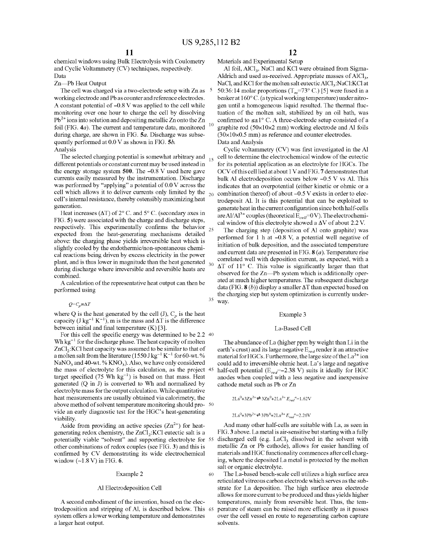chemical windows using Bulk Electrolysis with Coulometry and Cyclic Voltammetry (CV) techniques, respectively. Data

Zn-Pb Heat Output

The cell was charged via a two-electrode setup with Zn as 5 working electrode and Pb as counter and reference electrodes. A constant potential of  $-0.8$  V was applied to the cell while monitoring over one hour to charge the cell by dissolving  $Pb^{2+}$  ions into solution and depositing metallic Zn onto the Zn foil (FIG. 4*a*). The current and temperature data, monitored during charge, are shown in FIG. 5a. Discharge was subsequently performed at  $0.0$  V as shown in FIG. 5*b*. Analysis

The selected charging potential is somewhat arbitrary and  $_{15}$ different potentials or constant current may be used instead in the energy storage system **500.** The -0.8 V used here gave currents easily measured by the instrumentation. Discharge was performed by "applying" a potential of 0.0 V across the cell which allows it to deliver currents only limited by the  $_{20}$ cell's internal resistance, thereby ostensibly maximizing heat generation.

Heat increases ( $\Delta T$ ) of 2° C. and 5° C. (secondary axes in FIG. **5)** were associated with the charge and discharge steps, respectively. This experimentally confirms the behavior  $_{25}$ expected from the heat-generating mechanisms detailed above: the charging phase yields irreversible heat which is slightly cooled by the endothermic/non-spontaneous chemical reactions being driven by excess electricity in the power plant, and is thus lower in magnitude than the heat generated  $_{30}$ during discharge where irreversible and reversible heats are combined.

A calculation of the representative heat output can then be performed using

 $Q = C_p m \Delta T$ 

where Q is the heat generated by the cell  $(J)$ ,  $C_p$  is the heat capacity (J kg<sup>-1</sup> K<sup>-1</sup>), m is the mass and  $\Delta T$  is the difference between initial and final temperature (K) [3].

For this cell the specific energy was determined to be 2.2 40 Wh  $kg^{-1}$  for the discharge phase. The heat capacity of molten  $ZnCl<sub>2</sub>: KCl$  heat capacity was assumed to be similar to that of a molten salt from the literature (1550 J  $\rm kg^{-1}$  K  $^{-1}$  for 60-wt.  $\%$ NaNO<sub>3</sub> and 40-wt. %  $KNO<sub>3</sub>$ ). Also, we have only considered the mass of electrolyte for this calculation, as the project 45 target specified  $(75 \text{ Wh kg}^{-1})$  is based on that mass. Heat generated (Q in J) is converted to Wh and normalized by electrolyte mass for the output calculation. While quantitative heat measurements are usually obtained via calorimetry, the above method of solvent temperature monitoring should pro- <sup>50</sup> vide an early diagnostic test for the HGC's heat-generating viability.

Aside from providing an active species  $(Zn^{2+})$  for heatgenerating redox chemistry, the  $ZnCl_2$ : KCI eutectic salt is a potentially viable "solvent" and supporting electrolyte for 55 other combinations of redox couples (see FIG. **3)** and this is confirmed by CV demonstrating its wide electrochemical window (-1.8 V) in FIG. **6.** 

#### Example 2 60

#### AI Electrodeposition Cell

trodeposition and stripping of AI, is described below. This system offers a lower working temperature and demonstrates a larger heat output.

Materials and Experimental Setup

Al foil, AlCl<sub>3</sub>, NaCl and KCl were obtained from Sigma-Aldrich and used as-received. Appropriate masses of  $AICI<sub>3</sub>$ , NaCl, and KCl for the molten salt eutectic AlCl<sub>3</sub>:NaCl:KCl at 50:36:14 molar proportions  $(T_m = 73^\circ \text{ C.})$  [5] were fused in a beaker at 160° C. (a typical working temperature) under nitrogen until a homogeneous liquid resulted. The thermal fluctuation of the molten salt, stabilized by an oil bath, was confirmed to  $\leq \pm 1^{\circ}$  C. A three-electrode setup consisted of a graphite rod (50x10x2 mm) working electrode and AI foils  $(30\times10\times0.5 \text{ mm})$  as reference and counter electrodes. Data and Analysis

Cyclic voltammetry (CV) was first investigated in the AI cell to determine the electrochemical window of the eutectic for its potential application as an electrolyte for HGCs. The OCV of this cellliedatabout 1 VandFIG. **7** demonstrates that bulk AI electrodeposition occurs below -0.5 V vs AI. This indicates that an overpotential (either kinetic or ohmic or a combination thereof) of about -0.5 V exists in order to electrodeposit AI. It is this potential that can be exploited to generate heat in the current configuration since both half-cells are Al/Al<sup>3+</sup> couples (theoretical  $E_{cell}$ =0V). The electrochemical window of this electrolyte showed a  $\Delta V$  of about 2.2 V.

The charging step (deposition of AI onto graphite) was performed for 1 h at -0.8 V, a potential well negative of initiation of bulk deposition, and the associated temperature and current data are presented in FIG. **8** (a). Temperature rise correlated well with deposition current, as expected, with a  $\Delta T$  of 11° C. This value is significantly larger than that observed for the Zn-Pb system which is additionally operated at much higher temperatures. The subsequent discharge data (FIG.  $\mathbf{8}$  (b)) display a smaller  $\Delta T$  than expected based on the charging step but system optimization is currently under- $35$  way.

#### Example 3

#### La-Based Cell

The abundance of La (higher ppm by weight than Li in the earth's crust) and its large negative  $E_{red}$  render it an attractive material for HGCs. Furthermore, the large size of the  $La^{3+}$  ion could add to irreversible ohmic heat. La's large and negative half-cell potential ( $E_{red}$ =-2.38 V) suits it ideally for HGC anodes when coupled with a less negative and inexpensive cathode metal such as Pb or Zn

 $2La^{0}+3Zn^{2+} \rightleftharpoons 3Zn^{0}+2La^{3+}E_{red}^{\hspace{1.5mm}o}=1.62V$ 

 $2La^{0}+3Pb^{2}$   $\rightleftharpoons$   $3Pb^{0}+2La^{3+}E_{red}^{\circ }=2.26V$ 

And many other half-cells are suitable with La, as seen in FIG. **3** above. La metal is air-sensitive but starting with a fully discharged cell (e.g.  $LaCl<sub>3</sub>$  dissolved in the solvent with metallic Zn or Pb cathode), allows for easier handling of materials and HGC functionality commences after cell charging, where the deposited La metal is protected by the molten salt or organic electrolyte.

The La-based bench-scale cell utilizes a high surface area reticulated vitreous carbon electrode which serves as the substrate for La deposition. The high surface area electrode allows for more current to be produced and thus yields higher A second embodiment of the invention, based on the elec- temperatures, mainly from reversible heat. Thus, the temperature of steam can be raised more efficiently as it passes over the cell vessel en route to regenerating carbon capture solvents.